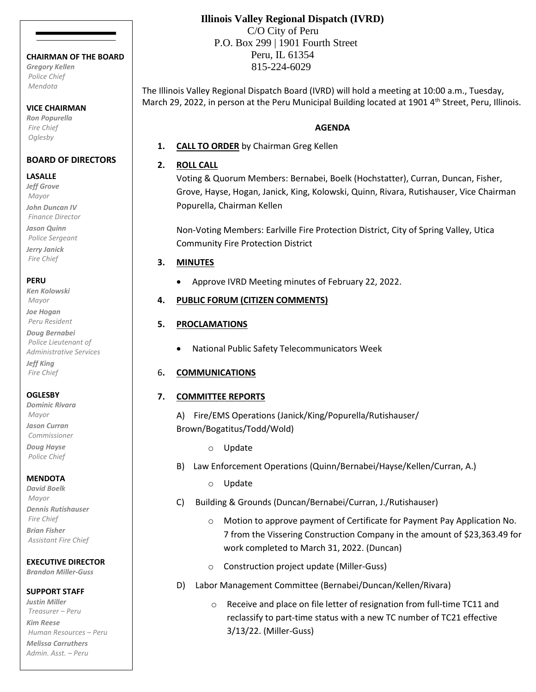#### **CHAIRMAN OF THE BOARD**

*Gregory Kellen Police Chief Mendota*

#### **VICE CHAIRMAN**

*Ron Popurella Fire Chief Oglesby*

### **BOARD OF DIRECTORS**

#### **LASALLE**

*Jeff Grove Mayor John Duncan IV Finance Director Jason Quinn Police Sergeant*

*Jerry Janick Fire Chief*

#### **PERU**

*Ken Kolowski Mayor*

*Joe Hogan Peru Resident Doug Bernabei*

*Police Lieutenant of Administrative Services Jeff King*

*Fire Chief*

# **OGLESBY**

*Dominic Rivara Mayor Jason Curran Commissioner Doug Hayse*

*Police Chief*

# **MENDOTA**

*David Boelk Mayor Dennis Rutishauser Fire Chief Brian Fisher Assistant Fire Chief*

# **EXECUTIVE DIRECTOR**

*Brandon Miller-Guss*

#### **SUPPORT STAFF**

*Justin Miller Treasurer – Peru Kim Reese Human Resources – Peru Melissa Carruthers Admin. Asst. – Peru*

# **Illinois Valley Regional Dispatch (IVRD)**

 C/O City of Peru P.O. Box 299 | 1901 Fourth Street Peru, IL 61354 815-224-6029

The Illinois Valley Regional Dispatch Board (IVRD) will hold a meeting at 10:00 a.m., Tuesday, March 29, 2022, in person at the Peru Municipal Building located at 1901 4<sup>th</sup> Street, Peru, Illinois.

### **AGENDA**

**1. CALL TO ORDER** by Chairman Greg Kellen

# **2. ROLL CALL**

Voting & Quorum Members: Bernabei, Boelk (Hochstatter), Curran, Duncan, Fisher, Grove, Hayse, Hogan, Janick, King, Kolowski, Quinn, Rivara, Rutishauser, Vice Chairman Popurella, Chairman Kellen

Non-Voting Members: Earlville Fire Protection District, City of Spring Valley, Utica Community Fire Protection District

# **3. MINUTES**

• Approve IVRD Meeting minutes of February 22, 2022.

# **4. PUBLIC FORUM (CITIZEN COMMENTS)**

# **5. PROCLAMATIONS**

• National Public Safety Telecommunicators Week

# 6**. COMMUNICATIONS**

# **7. COMMITTEE REPORTS**

A) Fire/EMS Operations (Janick/King/Popurella/Rutishauser/ Brown/Bogatitus/Todd/Wold)

- o Update
- B) Law Enforcement Operations (Quinn/Bernabei/Hayse/Kellen/Curran, A.)
	- o Update
- C) Building & Grounds (Duncan/Bernabei/Curran, J./Rutishauser)
	- o Motion to approve payment of Certificate for Payment Pay Application No. 7 from the Vissering Construction Company in the amount of \$23,363.49 for work completed to March 31, 2022. (Duncan)
	- o Construction project update (Miller-Guss)
- D) Labor Management Committee (Bernabei/Duncan/Kellen/Rivara)
	- o Receive and place on file letter of resignation from full-time TC11 and reclassify to part-time status with a new TC number of TC21 effective 3/13/22. (Miller-Guss)